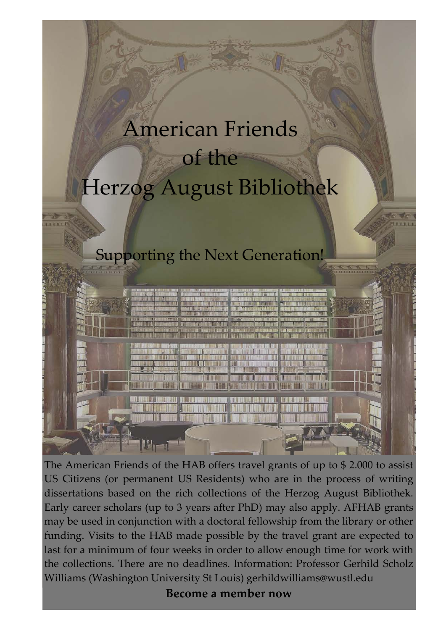## American Friends of the Herzog August Bibliothek

## Supporting the Next Generation!



The American Friends of the HAB offers travel grants of up to \$ 2.000 to assist US Citizens (or permanent US Residents) who are in the process of writing dissertations based on the rich collections of the Herzog August Bibliothek. Early career scholars (up to 3 years after PhD) may also apply. AFHAB grants may be used in conjunction with a doctoral fellowship from the library or other funding. Visits to the HAB made possible by the travel grant are expected to last for a minimum of four weeks in order to allow enough time for work with the collections. There are no deadlines. Information: Professor Gerhild Scholz Williams (Washington University St Louis) [gerhildwilliams@wustl.edu](mailto:gerhildwilliams@wustl.edu)

**Become a member now**